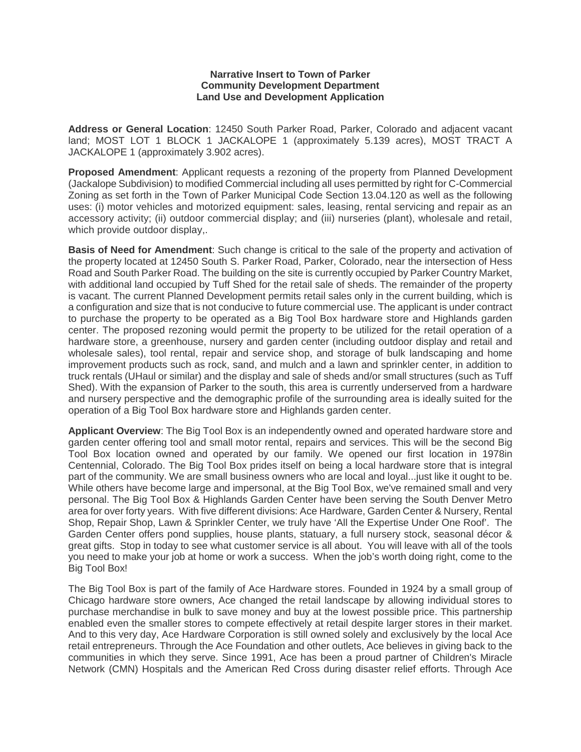## **Narrative Insert to Town of Parker Community Development Department Land Use and Development Application**

**Address or General Location**: 12450 South Parker Road, Parker, Colorado and adjacent vacant land; MOST LOT 1 BLOCK 1 JACKALOPE 1 (approximately 5.139 acres), MOST TRACT A JACKALOPE 1 (approximately 3.902 acres).

**Proposed Amendment**: Applicant requests a rezoning of the property from Planned Development (Jackalope Subdivision) to modified Commercial including all uses permitted by right for C-Commercial Zoning as set forth in the Town of Parker Municipal Code Section 13.04.120 as well as the following uses: (i) motor vehicles and motorized equipment: sales, leasing, rental servicing and repair as an accessory activity; (ii) outdoor commercial display; and (iii) nurseries (plant), wholesale and retail, which provide outdoor display,.

**Basis of Need for Amendment**: Such change is critical to the sale of the property and activation of the property located at 12450 South S. Parker Road, Parker, Colorado, near the intersection of Hess Road and South Parker Road. The building on the site is currently occupied by Parker Country Market, with additional land occupied by Tuff Shed for the retail sale of sheds. The remainder of the property is vacant. The current Planned Development permits retail sales only in the current building, which is a configuration and size that is not conducive to future commercial use. The applicant is under contract to purchase the property to be operated as a Big Tool Box hardware store and Highlands garden center. The proposed rezoning would permit the property to be utilized for the retail operation of a hardware store, a greenhouse, nursery and garden center (including outdoor display and retail and wholesale sales), tool rental, repair and service shop, and storage of bulk landscaping and home improvement products such as rock, sand, and mulch and a lawn and sprinkler center, in addition to truck rentals (UHaul or similar) and the display and sale of sheds and/or small structures (such as Tuff Shed). With the expansion of Parker to the south, this area is currently underserved from a hardware and nursery perspective and the demographic profile of the surrounding area is ideally suited for the operation of a Big Tool Box hardware store and Highlands garden center.

**Applicant Overview**: The Big Tool Box is an independently owned and operated hardware store and garden center offering tool and small motor rental, repairs and services. This will be the second Big Tool Box location owned and operated by our family. We opened our first location in 1978in Centennial, Colorado. The Big Tool Box prides itself on being a local hardware store that is integral part of the community. We are small business owners who are local and loyal...just like it ought to be. While others have become large and impersonal, at the Big Tool Box, we've remained small and very personal. The Big Tool Box & Highlands Garden Center have been serving the South Denver Metro area for over forty years. With five different divisions: Ace Hardware, Garden Center & Nursery, Rental Shop, Repair Shop, Lawn & Sprinkler Center, we truly have 'All the Expertise Under One Roof'. The Garden Center offers pond supplies, house plants, statuary, a full nursery stock, seasonal décor & great gifts. Stop in today to see what customer service is all about. You will leave with all of the tools you need to make your job at home or work a success. When the job's worth doing right, come to the Big Tool Box!

The Big Tool Box is part of the family of Ace Hardware stores. Founded in 1924 by a small group of Chicago hardware store owners, Ace changed the retail landscape by allowing individual stores to purchase merchandise in bulk to save money and buy at the lowest possible price. This partnership enabled even the smaller stores to compete effectively at retail despite larger stores in their market. And to this very day, Ace Hardware Corporation is still owned solely and exclusively by the local Ace retail entrepreneurs. Through the Ace Foundation and other outlets, Ace believes in giving back to the communities in which they serve. Since 1991, Ace has been a proud partner of Children's Miracle Network (CMN) Hospitals and the American Red Cross during disaster relief efforts. Through Ace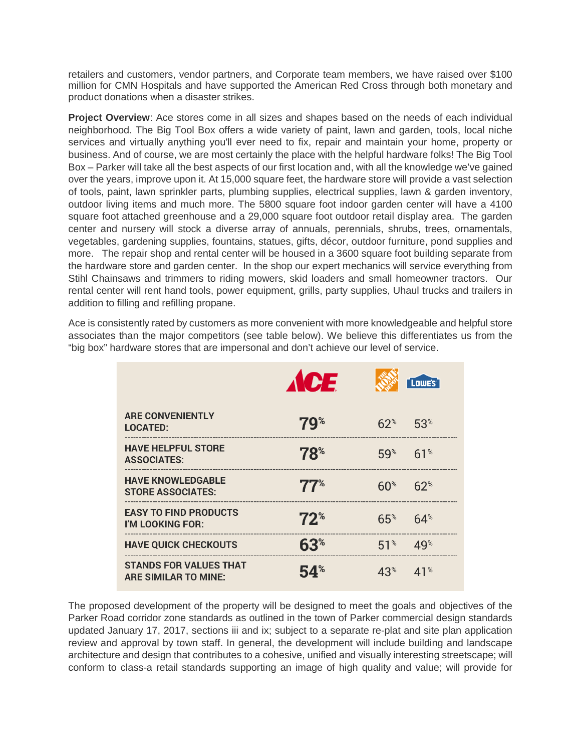retailers and customers, vendor partners, and Corporate team members, we have raised over \$100 million for CMN Hospitals and have supported the American Red Cross through both monetary and product donations when a disaster strikes.

**Project Overview**: Ace stores come in all sizes and shapes based on the needs of each individual neighborhood. The Big Tool Box offers a wide variety of paint, lawn and garden, tools, local niche services and virtually anything you'll ever need to fix, repair and maintain your home, property or business. And of course, we are most certainly the place with the helpful hardware folks! The Big Tool Box – Parker will take all the best aspects of our first location and, with all the knowledge we've gained over the years, improve upon it. At 15,000 square feet, the hardware store will provide a vast selection of tools, paint, lawn sprinkler parts, plumbing supplies, electrical supplies, lawn & garden inventory, outdoor living items and much more. The 5800 square foot indoor garden center will have a 4100 square foot attached greenhouse and a 29,000 square foot outdoor retail display area. The garden center and nursery will stock a diverse array of annuals, perennials, shrubs, trees, ornamentals, vegetables, gardening supplies, fountains, statues, gifts, décor, outdoor furniture, pond supplies and more. The repair shop and rental center will be housed in a 3600 square foot building separate from the hardware store and garden center. In the shop our expert mechanics will service everything from Stihl Chainsaws and trimmers to riding mowers, skid loaders and small homeowner tractors. Our rental center will rent hand tools, power equipment, grills, party supplies, Uhaul trucks and trailers in addition to filling and refilling propane.

Ace is consistently rated by customers as more convenient with more knowledgeable and helpful store associates than the major competitors (see table below). We believe this differentiates us from the "big box" hardware stores that are impersonal and don't achieve our level of service.

|                                                       | <b>ACE</b>            |                 | [Lowe's]        |
|-------------------------------------------------------|-----------------------|-----------------|-----------------|
| <b>ARE CONVENIENTLY</b><br><b>LOCATED:</b>            | $79^{\circ}$          | $62^*$          | 53 <sup>°</sup> |
| <b>HAVE HELPFUL STORE</b><br><b>ASSOCIATES:</b>       | $78^{\circ}$          | 59%             | 61%             |
| <b>HAVE KNOWLEDGABLE</b><br><b>STORE ASSOCIATES:</b>  | $\mathbf{77}^{\circ}$ | $60^{\circ}$    | $62^{\circ}$    |
| <b>EASY TO FIND PRODUCTS</b><br>I'M LOOKING FOR:      | $72^{\circ}$          | 65%             | $64^{\circ}$    |
| <b>HAVE QUICK CHECKOUTS</b>                           | 63 <sup>°</sup>       | 51 <sup>°</sup> | $49^{\circ}$    |
| <b>STANDS FOR VALUES THAT</b><br>ARE SIMILAR TO MINE: | 54%                   | $43^{\circ}$    | 41 <sup>%</sup> |

The proposed development of the property will be designed to meet the goals and objectives of the Parker Road corridor zone standards as outlined in the town of Parker commercial design standards updated January 17, 2017, sections iii and ix; subject to a separate re-plat and site plan application review and approval by town staff. In general, the development will include building and landscape architecture and design that contributes to a cohesive, unified and visually interesting streetscape; will conform to class-a retail standards supporting an image of high quality and value; will provide for